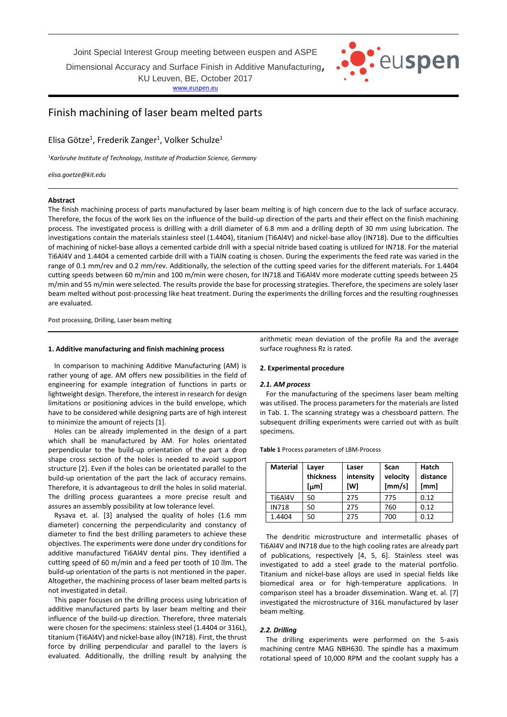Joint Special Interest Group meeting between euspen and ASPE

Dimensional Accuracy and Surface Finish in Additive Manufacturing,

KU Leuven, BE, October 2017

[www.euspen.eu](http://www.euspen.eu/)



# Finish machining of laser beam melted parts

Elisa Götze<sup>1</sup>, Frederik Zanger<sup>1</sup>, Volker Schulze<sup>1</sup>

<sup>1</sup>*Karlsruhe Institute of Technology, Institute of Production Science, Germany*

*elisa.goetze@kit.edu*

# **Abstract**

The finish machining process of parts manufactured by laser beam melting is of high concern due to the lack of surface accuracy. Therefore, the focus of the work lies on the influence of the build-up direction of the parts and their effect on the finish machining process. The investigated process is drilling with a drill diameter of 6.8 mm and a drilling depth of 30 mm using lubrication. The investigations contain the materials stainless steel (1.4404), titanium (Ti6Al4V) and nickel-base alloy (IN718). Due to the difficulties of machining of nickel-base alloys a cemented carbide drill with a special nitride based coating is utilized for IN718. For the material Ti6Al4V and 1.4404 a cemented carbide drill with a TiAlN coating is chosen. During the experiments the feed rate was varied in the range of 0.1 mm/rev and 0.2 mm/rev. Additionally, the selection of the cutting speed varies for the different materials. For 1.4404 cutting speeds between 60 m/min and 100 m/min were chosen, for IN718 and Ti6Al4V more moderate cutting speeds between 25 m/min and 55 m/min were selected. The results provide the base for processing strategies. Therefore, the specimens are solely laser beam melted without post-processing like heat treatment. During the experiments the drilling forces and the resulting roughnesses are evaluated.

Post processing, Drilling, Laser beam melting

## **1. Additive manufacturing and finish machining process**

In comparison to machining Additive Manufacturing (AM) is rather young of age. AM offers new possibilities in the field of engineering for example integration of functions in parts or lightweight design. Therefore, the interest in research for design limitations or positioning advices in the build envelope, which have to be considered while designing parts are of high interest to minimize the amount of rejects [1].

Holes can be already implemented in the design of a part which shall be manufactured by AM. For holes orientated perpendicular to the build-up orientation of the part a drop shape cross section of the holes is needed to avoid support structure [2]. Even if the holes can be orientated parallel to the build-up orientation of the part the lack of accuracy remains. Therefore, it is advantageous to drill the holes in solid material. The drilling process guarantees a more precise result and assures an assembly possibility at low tolerance level.

Rysava et. al. [3] analysed the quality of holes (1.6 mm diameter) concerning the perpendicularity and constancy of diameter to find the best drilling parameters to achieve these objectives. The experiments were done under dry conditions for additive manufactured Ti6Al4V dental pins. They identified a cutting speed of 60 m/min and a feed per tooth of 10 mm. The build-up orientation of the parts is not mentioned in the paper. Altogether, the machining process of laser beam melted parts is not investigated in detail.

This paper focuses on the drilling process using lubrication of additive manufactured parts by laser beam melting and their influence of the build-up direction. Therefore, three materials were chosen for the specimens: stainless steel (1.4404 or 316L), titanium (Ti6Al4V) and nickel-base alloy (IN718). First, the thrust force by drilling perpendicular and parallel to the layers is evaluated. Additionally, the drilling result by analysing the arithmetic mean deviation of the profile Ra and the average surface roughness Rz is rated.

## **2. Experimental procedure**

### *2.1. AM process*

For the manufacturing of the specimens laser beam melting was utilised. The process parameters for the materials are listed in Tab. 1. The scanning strategy was a chessboard pattern. The subsequent drilling experiments were carried out with as built specimens.

**Table 1** Process parameters of LBM-Process

| <b>Material</b> | Layer<br>thickness<br>[µm] | Laser<br>intensity<br>[W] | Scan<br>velocity<br>[mm/s] | Hatch<br>distance<br>[mm] |
|-----------------|----------------------------|---------------------------|----------------------------|---------------------------|
| Ti6Al4V         | 50                         | 275                       | 775                        | 0.12                      |
| <b>IN718</b>    | 50                         | 275                       | 760                        | 0.12                      |
| 1.4404          | 50                         | 275                       | 700                        | 0.12                      |

The dendritic microstructure and intermetallic phases of Ti6Al4V and IN718 due to the high cooling rates are already part of publications, respectively [4, 5, 6]. Stainless steel was investigated to add a steel grade to the material portfolio. Titanium and nickel-base alloys are used in special fields like biomedical area or for high-temperature applications. In comparison steel has a broader dissemination. Wang et. al. [7] investigated the microstructure of 316L manufactured by laser beam melting.

# *2.2. Drilling*

The drilling experiments were performed on the 5-axis machining centre MAG NBH630. The spindle has a maximum rotational speed of 10,000 RPM and the coolant supply has a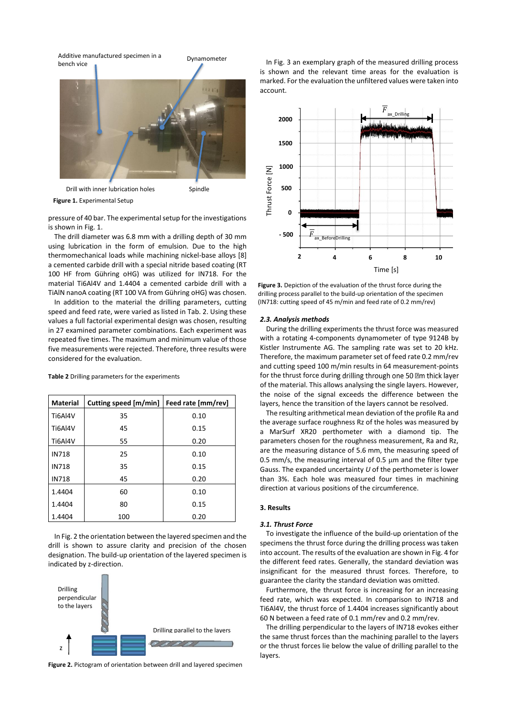

**Figure 1.** Experimental Setup

pressure of 40 bar. The experimental setup for the investigations is shown in Fig. 1.

The drill diameter was 6.8 mm with a drilling depth of 30 mm using lubrication in the form of emulsion. Due to the high thermomechanical loads while machining nickel-base alloys [8] a cemented carbide drill with a special nitride based coating (RT 100 HF from Gühring oHG) was utilized for IN718. For the material Ti6Al4V and 1.4404 a cemented carbide drill with a TiAlN nanoA coating (RT 100 VA from Gühring oHG) was chosen.

In addition to the material the drilling parameters, cutting speed and feed rate, were varied as listed in Tab. 2. Using these values a full factorial experimental design was chosen, resulting in 27 examined parameter combinations. Each experiment was repeated five times. The maximum and minimum value of those five measurements were rejected. Therefore, three results were considered for the evaluation.

| <b>Material</b> | Cutting speed [m/min] | Feed rate [mm/rev] |  |
|-----------------|-----------------------|--------------------|--|
| Ti6Al4V         | 35                    | 0.10               |  |
| Ti6Al4V         | 45                    | 0.15               |  |
| Ti6Al4V         | 55                    | 0.20               |  |
| <b>IN718</b>    | 25                    | 0.10               |  |
| <b>IN718</b>    | 35                    | 0.15               |  |
| <b>IN718</b>    | 45                    | 0.20               |  |
| 1.4404          | 60                    | 0.10               |  |
| 1.4404          | 80                    | 0.15               |  |
| 1.4404          | 100                   | 0.20               |  |

**Table 2** Drilling parameters for the experiments

In Fig. 2 the orientation between the layered specimen and the drill is shown to assure clarity and precision of the chosen designation. The build-up orientation of the layered specimen is indicated by z-direction.



**Figure 2.** Pictogram of orientation between drill and layered specimen

In Fig. 3 an exemplary graph of the measured drilling process is shown and the relevant time areas for the evaluation is marked. For the evaluation the unfiltered values were taken into account.



**Figure 3.** Depiction of the evaluation of the thrust force during the drilling process parallel to the build-up orientation of the specimen (IN718: cutting speed of 45 m/min and feed rate of 0.2 mm/rev)

#### *2.3. Analysis methods*

During the drilling experiments the thrust force was measured with a rotating 4-components dynamometer of type 9124B by Kistler Instrumente AG. The sampling rate was set to 20 kHz. Therefore, the maximum parameter set of feed rate 0.2 mm/rev and cutting speed 100 m/min results in 64 measurement-points for the thrust force during drilling through one 50 am thick layer of the material. This allows analysing the single layers. However, the noise of the signal exceeds the difference between the layers, hence the transition of the layers cannot be resolved.

The resulting arithmetical mean deviation of the profile Ra and the average surface roughness Rz of the holes was measured by a MarSurf XR20 perthometer with a diamond tip. The parameters chosen for the roughness measurement, Ra and Rz, are the measuring distance of 5.6 mm, the measuring speed of 0.5 mm/s, the measuring interval of 0.5  $\mu$ m and the filter type Gauss. The expanded uncertainty *U* of the perthometer is lower than 3%. Each hole was measured four times in machining direction at various positions of the circumference.

# **3. Results**

## *3.1. Thrust Force*

To investigate the influence of the build-up orientation of the specimens the thrust force during the drilling process was taken into account. The results of the evaluation are shown in Fig. 4 for the different feed rates. Generally, the standard deviation was insignificant for the measured thrust forces. Therefore, to guarantee the clarity the standard deviation was omitted.

Furthermore, the thrust force is increasing for an increasing feed rate, which was expected. In comparison to IN718 and Ti6Al4V, the thrust force of 1.4404 increases significantly about 60 N between a feed rate of 0.1 mm/rev and 0.2 mm/rev.

The drilling perpendicular to the layers of IN718 evokes either the same thrust forces than the machining parallel to the layers or the thrust forces lie below the value of drilling parallel to the layers.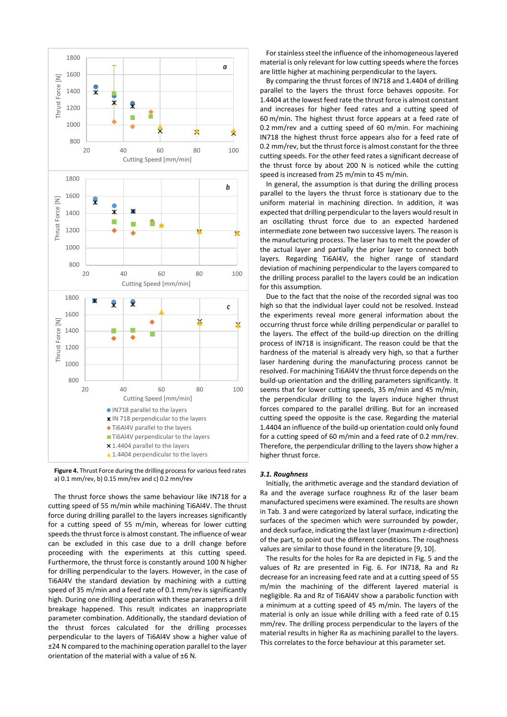



The thrust force shows the same behaviour like IN718 for a cutting speed of 55 m/min while machining Ti6Al4V. The thrust force during drilling parallel to the layers increases significantly for a cutting speed of 55 m/min, whereas for lower cutting speeds the thrust force is almost constant. The influence of wear can be excluded in this case due to a drill change before proceeding with the experiments at this cutting speed. Furthermore, the thrust force is constantly around 100 N higher for drilling perpendicular to the layers. However, in the case of Ti6Al4V the standard deviation by machining with a cutting speed of 35 m/min and a feed rate of 0.1 mm/rev is significantly high. During one drilling operation with these parameters a drill breakage happened. This result indicates an inappropriate parameter combination. Additionally, the standard deviation of the thrust forces calculated for the drilling processes perpendicular to the layers of Ti6Al4V show a higher value of ±24 N compared to the machining operation parallel to the layer orientation of the material with a value of ±6 N.

For stainless steel the influence of the inhomogeneous layered material is only relevant for low cutting speeds where the forces are little higher at machining perpendicular to the layers.

By comparing the thrust forces of IN718 and 1.4404 of drilling parallel to the layers the thrust force behaves opposite. For 1.4404 at the lowest feed rate the thrust force is almost constant and increases for higher feed rates and a cutting speed of 60 m/min. The highest thrust force appears at a feed rate of 0.2 mm/rev and a cutting speed of 60 m/min. For machining IN718 the highest thrust force appears also for a feed rate of 0.2 mm/rev, but the thrust force is almost constant for the three cutting speeds. For the other feed rates a significant decrease of the thrust force by about 200 N is noticed while the cutting speed is increased from 25 m/min to 45 m/min.

In general, the assumption is that during the drilling process parallel to the layers the thrust force is stationary due to the uniform material in machining direction. In addition, it was expected that drilling perpendicular to the layers would result in an oscillating thrust force due to an expected hardened intermediate zone between two successive layers. The reason is the manufacturing process. The laser has to melt the powder of the actual layer and partially the prior layer to connect both layers. Regarding Ti6Al4V, the higher range of standard deviation of machining perpendicular to the layers compared to the drilling process parallel to the layers could be an indication for this assumption.

Due to the fact that the noise of the recorded signal was too high so that the individual layer could not be resolved. Instead the experiments reveal more general information about the occurring thrust force while drilling perpendicular or parallel to the layers. The effect of the build-up direction on the drilling process of IN718 is insignificant. The reason could be that the hardness of the material is already very high, so that a further laser hardening during the manufacturing process cannot be resolved. For machining Ti6Al4V the thrust force depends on the build-up orientation and the drilling parameters significantly. It seems that for lower cutting speeds, 35 m/min and 45 m/min, the perpendicular drilling to the layers induce higher thrust forces compared to the parallel drilling. But for an increased cutting speed the opposite is the case. Regarding the material 1.4404 an influence of the build-up orientation could only found for a cutting speed of 60 m/min and a feed rate of 0.2 mm/rev. Therefore, the perpendicular drilling to the layers show higher a higher thrust force.

#### *3.1. Roughness*

Initially, the arithmetic average and the standard deviation of Ra and the average surface roughness Rz of the laser beam manufactured specimens were examined. The results are shown in Tab. 3 and were categorized by lateral surface, indicating the surfaces of the specimen which were surrounded by powder, and deck surface, indicating the last layer (maximum z-direction) of the part, to point out the different conditions. The roughness values are similar to those found in the literature [9, 10].

The results for the holes for Ra are depicted in Fig. 5 and the values of Rz are presented in Fig. 6. For IN718, Ra and Rz decrease for an increasing feed rate and at a cutting speed of 55 m/min the machining of the different layered material is negligible. Ra and Rz of Ti6Al4V show a parabolic function with a minimum at a cutting speed of 45 m/min. The layers of the material is only an issue while drilling with a feed rate of 0.15 mm/rev. The drilling process perpendicular to the layers of the material results in higher Ra as machining parallel to the layers. This correlates to the force behaviour at this parameter set.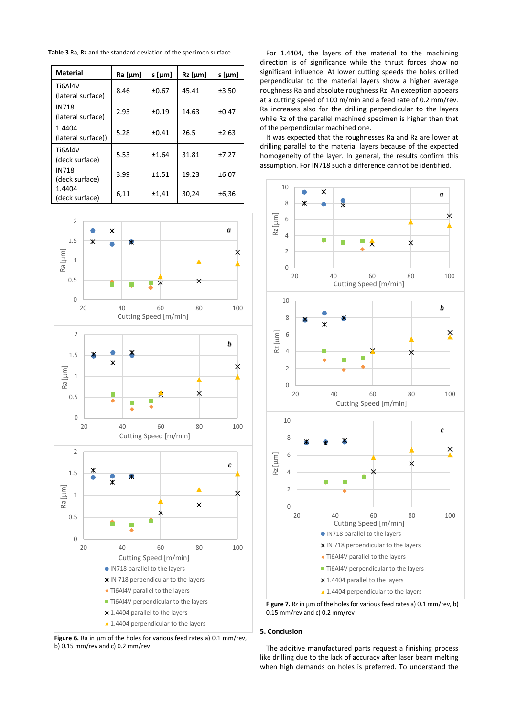**Table 3** Ra, Rz and the standard deviation of the specimen surface

| <b>Material</b>                   | Ra [µm] | s [µm] | $Rz$ [µm] | s [µm]  |
|-----------------------------------|---------|--------|-----------|---------|
| Ti6Al4V<br>(lateral surface)      | 8.46    | ±0.67  | 45.41     | ±3.50   |
| <b>IN718</b><br>(lateral surface) | 2.93    | ±0.19  | 14.63     | ±0.47   |
| 1.4404<br>(lateral surface))      | 5.28    | ±0.41  | 26.5      | ±2.63   |
| Ti6Al4V<br>(deck surface)         | 5.53    | ±1.64  | 31.81     | $+7.27$ |
| <b>IN718</b><br>(deck surface)    | 3.99    | ±1.51  | 19.23     | ±6.07   |
| 1.4404<br>(deck surface)          | 6,11    | ±1,41  | 30,24     | ±6,36   |



Figure 6. Ra in µm of the holes for various feed rates a) 0.1 mm/rev, b) 0.15 mm/rev and c) 0.2 mm/rev

For 1.4404, the layers of the material to the machining direction is of significance while the thrust forces show no significant influence. At lower cutting speeds the holes drilled perpendicular to the material layers show a higher average roughness Ra and absolute roughness Rz. An exception appears at a cutting speed of 100 m/min and a feed rate of 0.2 mm/rev. Ra increases also for the drilling perpendicular to the layers while Rz of the parallel machined specimen is higher than that of the perpendicular machined one.

It was expected that the roughnesses Ra and Rz are lower at drilling parallel to the material layers because of the expected homogeneity of the layer. In general, the results confirm this assumption. For IN718 such a difference cannot be identified.



Figure 7. Rz in um of the holes for various feed rates a) 0.1 mm/rev, b) 0.15 mm/rev and c) 0.2 mm/rev

# **5. Conclusion**

The additive manufactured parts request a finishing process like drilling due to the lack of accuracy after laser beam melting when high demands on holes is preferred. To understand the